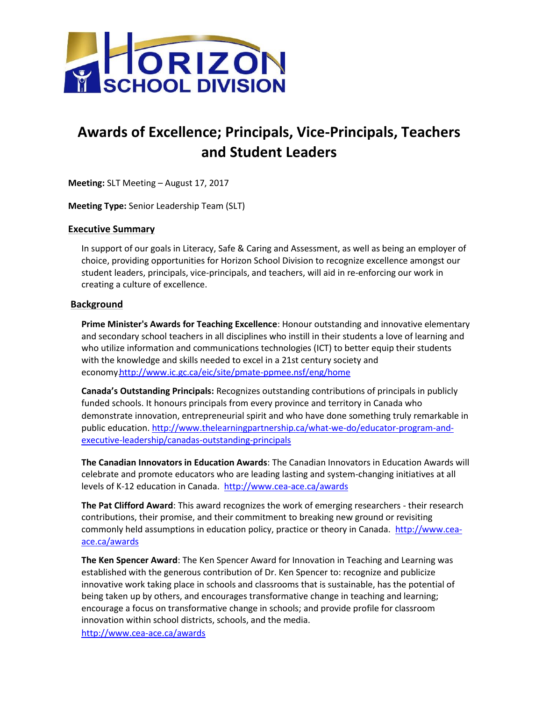

## **Awards of Excellence; Principals, Vice-Principals, Teachers and Student Leaders**

**Meeting:** SLT Meeting – August 17, 2017

**Meeting Type:** Senior Leadership Team (SLT)

## **Executive Summary**

In support of our goals in Literacy, Safe & Caring and Assessment, as well as being an employer of choice, providing opportunities for Horizon School Division to recognize excellence amongst our student leaders, principals, vice-principals, and teachers, will aid in re-enforcing our work in creating a culture of excellence.

## **Background**

**Prime Minister's Awards for Teaching Excellence**: Honour outstanding and innovative elementary and secondary school teachers in all disciplines who instill in their students a love of learning and who utilize information and communications technologies (ICT) to better equip their students with the knowledge and skills needed to excel in a 21st century society and econom[y.http://www.ic.gc.ca/eic/site/pmate-ppmee.nsf/eng/home](http://www.ic.gc.ca/eic/site/pmate-ppmee.nsf/eng/home)

**Canada's Outstanding Principals:** Recognizes outstanding contributions of principals in publicly funded schools. It honours principals from every province and territory in Canada who demonstrate innovation, entrepreneurial spirit and who have done something truly remarkable in public education[. http://www.thelearningpartnership.ca/what-we-do/educator-program-and](http://www.thelearningpartnership.ca/what-we-do/educator-program-and-executive-leadership/canadas-outstanding-principals)[executive-leadership/canadas-outstanding-principals](http://www.thelearningpartnership.ca/what-we-do/educator-program-and-executive-leadership/canadas-outstanding-principals)

**The Canadian Innovators in Education Awards**: The Canadian Innovators in Education Awards will celebrate and promote educators who are leading lasting and system-changing initiatives at all levels of K-12 education in Canada. <http://www.cea-ace.ca/awards>

**The Pat Clifford Award**: This award recognizes the work of emerging researchers - their research contributions, their promise, and their commitment to breaking new ground or revisiting commonly held assumptions in education policy, practice or theory in Canada. [http://www.cea](http://www.cea-ace.ca/awards)[ace.ca/awards](http://www.cea-ace.ca/awards)

**The Ken Spencer Award**: The Ken Spencer Award for Innovation in Teaching and Learning was established with the generous contribution of Dr. Ken Spencer to: recognize and publicize innovative work taking place in schools and classrooms that is sustainable, has the potential of being taken up by others, and encourages transformative change in teaching and learning; encourage a focus on transformative change in schools; and provide profile for classroom innovation within school districts, schools, and the media.

<http://www.cea-ace.ca/awards>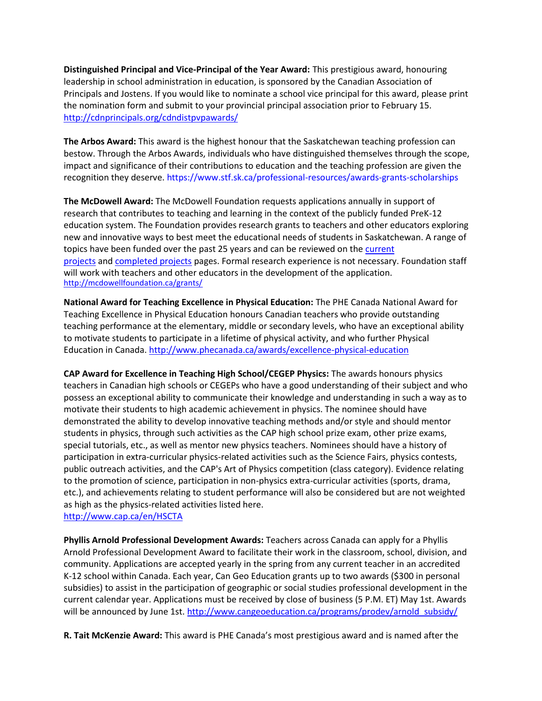**Distinguished Principal and Vice-Principal of the Year Award:** This prestigious award, honouring leadership in school administration in education, is sponsored by the Canadian Association of Principals and Jostens. If you would like to nominate a school vice principal for this award, please print the nomination form and submit to your provincial principal association prior to February 15. <http://cdnprincipals.org/cdndistpvpawards/>

**The Arbos Award:** This award is the highest honour that the Saskatchewan teaching profession can bestow. Through the Arbos Awards, individuals who have distinguished themselves through the scope, impact and significance of their contributions to education and the teaching profession are given the recognition they deserve. https://www.stf.sk.ca/professional-resources/awards-grants-scholarships

**The McDowell Award:** The McDowell Foundation requests applications annually in support of research that contributes to teaching and learning in the context of the publicly funded PreK-12 education system. The Foundation provides research grants to teachers and other educators exploring new and innovative ways to best meet the educational needs of students in Saskatchewan. A range of topics have been funded over the past 25 years and can be reviewed on the [current](http://mcdowellfoundation.ca/research/?status=current)  [projects](http://mcdowellfoundation.ca/research/?status=current) and [completed projects](http://mcdowellfoundation.ca/research/?status=completed) pages. Formal research experience is not necessary. Foundation staff will work with teachers and other educators in the development of the application. <http://mcdowellfoundation.ca/grants/>

**National Award for Teaching Excellence in Physical Education:** The PHE Canada National Award for Teaching Excellence in Physical Education honours Canadian teachers who provide outstanding teaching performance at the elementary, middle or secondary levels, who have an exceptional ability to motivate students to participate in a lifetime of physical activity, and who further Physical Education in Canada[. http://www.phecanada.ca/awards/excellence-physical-education](http://www.phecanada.ca/awards/excellence-physical-education)

**CAP Award for Excellence in Teaching High School/CEGEP Physics:** The awards honours physics teachers in Canadian high schools or CEGEPs who have a good understanding of their subject and who possess an exceptional ability to communicate their knowledge and understanding in such a way as to motivate their students to high academic achievement in physics. The nominee should have demonstrated the ability to develop innovative teaching methods and/or style and should mentor students in physics, through such activities as the [CAP high school prize exam,](http://www.cap.ca/en/activities/medals-and-awards/prizes-students/high-school-prize-exam-history) other prize exams, special tutorials, etc., as well as mentor new physics teachers. Nominees should have a history of participation in extra-curricular physics-related activities such as the Science Fairs, physics contests, public outreach activities, and the [CAP's Art of Physics competition](http://www.cap.ca/en/activities/art-physics) (class category). Evidence relating to the promotion of science, participation in non-physics extra-curricular activities (sports, drama, etc.), and achievements relating to student performance will also be considered but are not weighted as high as the physics-related activities listed here.

<http://www.cap.ca/en/HSCTA>

**Phyllis Arnold Professional Development Awards:** Teachers across Canada can apply for a Phyllis Arnold Professional Development Award to facilitate their work in the classroom, school, division, and community. Applications are accepted yearly in the spring from any current teacher in an accredited K-12 school within Canada. Each year, Can Geo Education grants up to two awards (\$300 in personal subsidies) to assist in the participation of geographic or social studies professional development in the current calendar year. Applications must be received by close of business (5 P.M. ET) May 1st. Awards will be announced by June 1st. http://www.cangeoeducation.ca/programs/prodev/arnold subsidy/

**R. Tait McKenzie Award:** This award is PHE Canada's most prestigious award and is named after the